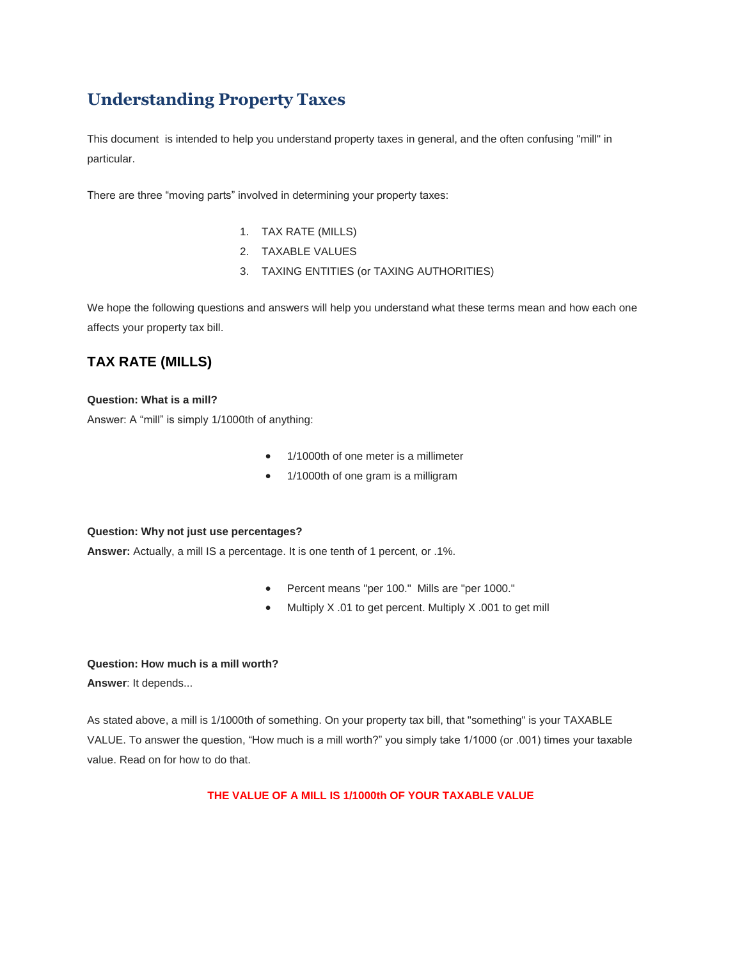# **Understanding Property Taxes**

This document is intended to help you understand property taxes in general, and the often confusing "mill" in particular.

There are three "moving parts" involved in determining your property taxes:

- 1. TAX RATE (MILLS)
- 2. TAXABLE VALUES
- 3. TAXING ENTITIES (or TAXING AUTHORITIES)

We hope the following questions and answers will help you understand what these terms mean and how each one affects your property tax bill.

# **TAX RATE (MILLS)**

#### **Question: What is a mill?**

Answer: A "mill" is simply 1/1000th of anything:

- 1/1000th of one meter is a millimeter
- 1/1000th of one gram is a milligram

#### **Question: Why not just use percentages?**

**Answer:** Actually, a mill IS a percentage. It is one tenth of 1 percent, or .1%.

- Percent means "per 100." Mills are "per 1000."
- Multiply X .01 to get percent. Multiply X .001 to get mill

#### **Question: How much is a mill worth?**

**Answer**: It depends...

As stated above, a mill is 1/1000th of something. On your property tax bill, that "something" is your TAXABLE VALUE. To answer the question, "How much is a mill worth?" you simply take 1/1000 (or .001) times your taxable value. Read on for how to do that.

**THE VALUE OF A MILL IS 1/1000th OF YOUR TAXABLE VALUE**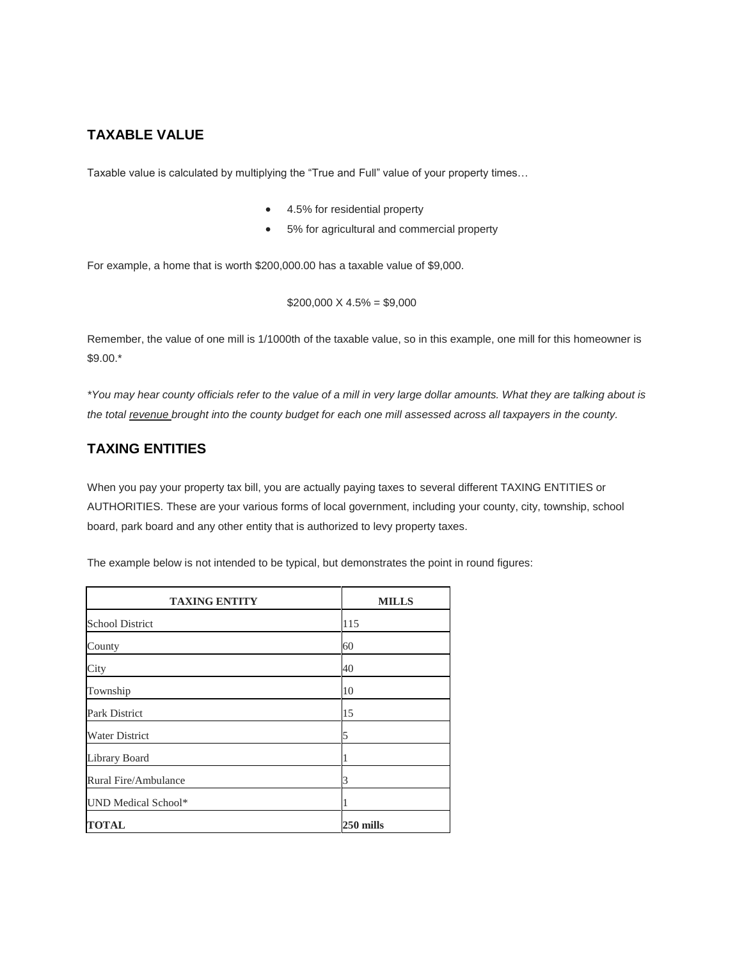## **TAXABLE VALUE**

Taxable value is calculated by multiplying the "True and Full" value of your property times…

- 4.5% for residential property
- 5% for agricultural and commercial property

For example, a home that is worth \$200,000.00 has a taxable value of \$9,000.

 $$200,000 \times 4.5\% = $9,000$ 

Remember, the value of one mill is 1/1000th of the taxable value, so in this example, one mill for this homeowner is \$9.00.\*

*\*You may hear county officials refer to the value of a mill in very large dollar amounts. What they are talking about is the total revenue brought into the county budget for each one mill assessed across all taxpayers in the county.*

## **TAXING ENTITIES**

ŕ

When you pay your property tax bill, you are actually paying taxes to several different TAXING ENTITIES or AUTHORITIES. These are your various forms of local government, including your county, city, township, school board, park board and any other entity that is authorized to levy property taxes.

The example below is not intended to be typical, but demonstrates the point in round figures:

| <b>TAXING ENTITY</b>   | <b>MILLS</b> |
|------------------------|--------------|
| <b>School District</b> | 115          |
| County                 | 60           |
| City                   | 40           |
| Township               | 10           |
| Park District          | 15           |
| <b>Water District</b>  | 5            |
| Library Board          | 1            |
| Rural Fire/Ambulance   | 3            |
| UND Medical School*    | 1            |
| <b>TOTAL</b>           | 250 mills    |